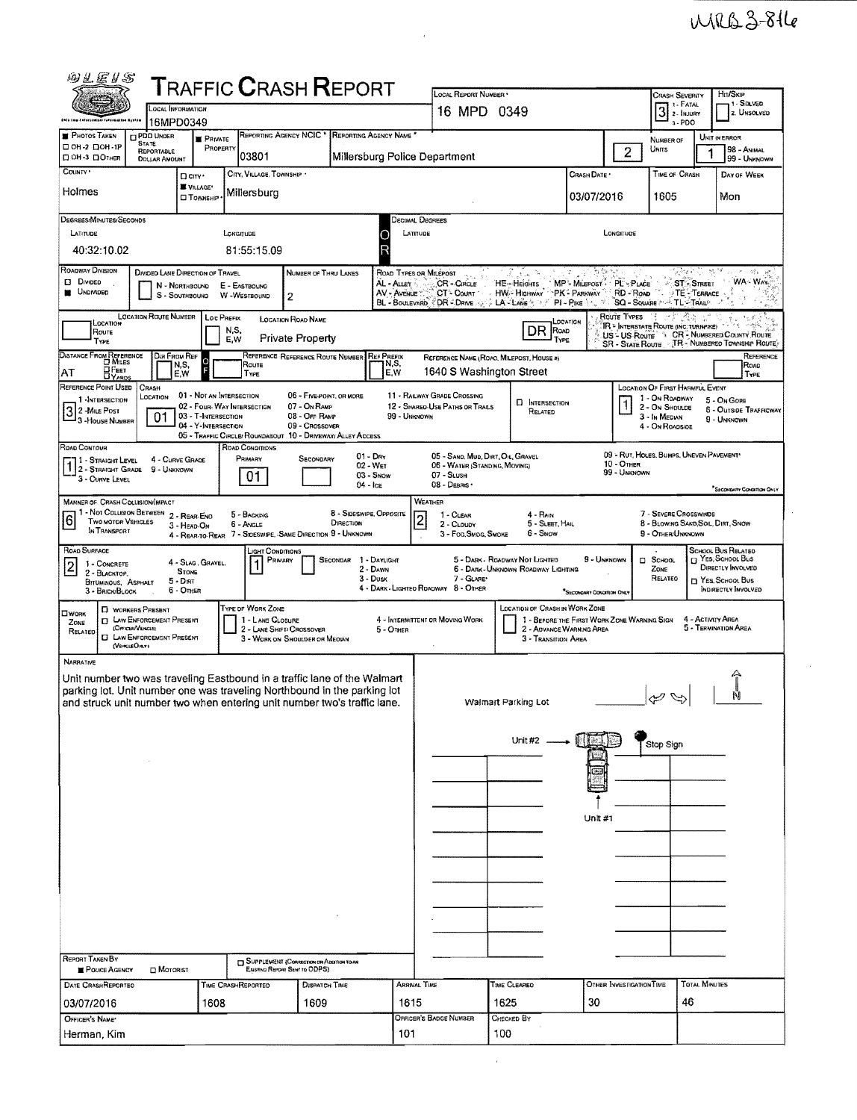$\bar{\mathcal{A}}$ 

| <b>@LEIS</b>                                                                                                                                                                                                                                                                                                                                                                                                                                                                                                                                     | <b>TRAFFIC CRASH REPORT</b>                                                                                                                                              |                                                            | LOCAL REPORT NUMBER .                                                                                                                                                                                                                                                                                                                                                                                             |                                                               |                                   | <b>CRASH SEVERITY</b>                                                                                   | Hn/Skip                                                     |  |  |  |  |  |  |  |  |
|--------------------------------------------------------------------------------------------------------------------------------------------------------------------------------------------------------------------------------------------------------------------------------------------------------------------------------------------------------------------------------------------------------------------------------------------------------------------------------------------------------------------------------------------------|--------------------------------------------------------------------------------------------------------------------------------------------------------------------------|------------------------------------------------------------|-------------------------------------------------------------------------------------------------------------------------------------------------------------------------------------------------------------------------------------------------------------------------------------------------------------------------------------------------------------------------------------------------------------------|---------------------------------------------------------------|-----------------------------------|---------------------------------------------------------------------------------------------------------|-------------------------------------------------------------|--|--|--|--|--|--|--|--|
| OCAL INFORMATION<br>Ohio tam Jaforcemaal fatermation Santes<br>16MPD0349                                                                                                                                                                                                                                                                                                                                                                                                                                                                         |                                                                                                                                                                          |                                                            | 16 MPD 0349                                                                                                                                                                                                                                                                                                                                                                                                       | 1 SOLVED<br>1 - FATAL<br>3 <sup>1. FATAL</sup><br>2. UNSOLVED |                                   |                                                                                                         |                                                             |  |  |  |  |  |  |  |  |
| <b>PHOTOS TAKEN</b><br><b>C PDO UNDER</b><br><b>E</b> PRIVATE<br><b>STATE</b>                                                                                                                                                                                                                                                                                                                                                                                                                                                                    | REPORTING AGENCY NCIC * REPORTING AGENCY NAME                                                                                                                            |                                                            | $3 - PDO$<br>UNIT IN ERROR<br>NUMBER OF                                                                                                                                                                                                                                                                                                                                                                           |                                                               |                                   |                                                                                                         |                                                             |  |  |  |  |  |  |  |  |
| $\Box$ OH-2 $\Box$ OH-1P<br><b>REPORTABLE</b><br><b>DOH-3 DOTHER</b><br><b>DOLLAR AMOUNT</b>                                                                                                                                                                                                                                                                                                                                                                                                                                                     | PROPERTY<br>03801                                                                                                                                                        | Millersburg Police Department                              |                                                                                                                                                                                                                                                                                                                                                                                                                   | Units<br>$\overline{2}$                                       | 98 - ANIMAL<br>99 - UNKNOWN       |                                                                                                         |                                                             |  |  |  |  |  |  |  |  |
| COUNTY <sup>.</sup><br>D CITY '<br>VILLAGE*<br>Holmes<br><b>O</b> TOWNSHP                                                                                                                                                                                                                                                                                                                                                                                                                                                                        | CITY, VILLAGE, TOWNSHIP .<br>Millersburg                                                                                                                                 |                                                            |                                                                                                                                                                                                                                                                                                                                                                                                                   |                                                               | CRASH DATE *<br>03/07/2016        | TIME OF CRASH<br>1605                                                                                   | DAY OF WEEK<br>Mon                                          |  |  |  |  |  |  |  |  |
| DEGREES/MINUTES/SECONDS                                                                                                                                                                                                                                                                                                                                                                                                                                                                                                                          |                                                                                                                                                                          |                                                            | <b>DECIMAL DEGREES</b>                                                                                                                                                                                                                                                                                                                                                                                            |                                                               |                                   |                                                                                                         |                                                             |  |  |  |  |  |  |  |  |
| LATITUDE<br>LONGITUDE<br>LATITUDE<br>LONGITUOR<br>40:32:10.02<br>81:55:15.09                                                                                                                                                                                                                                                                                                                                                                                                                                                                     |                                                                                                                                                                          |                                                            |                                                                                                                                                                                                                                                                                                                                                                                                                   |                                                               |                                   |                                                                                                         |                                                             |  |  |  |  |  |  |  |  |
| <b>ROADWAY DIVISION</b><br>DIVIDED LANE DIRECTION OF TRAVEL<br><b>Divided</b><br>N - NORTHBOUND<br><b>UNDIVIDED</b><br>s<br>- SOUTHSOUND W-WESTBOUND                                                                                                                                                                                                                                                                                                                                                                                             | <b>NUMBER OF THRU LANES</b><br>E - EASTBOUNG<br>$\overline{c}$                                                                                                           | AL - Auey<br>AV - AVENUE                                   | $\mathcal{V}_{\mathcal{M}}^{\mathcal{U}}$<br>ROAD TYPES OR MILEPOST<br>$\Delta^{\mathcal{M}}_{\mathcal{I}} \mathcal{V} = \mathcal{M}^{\mathcal{P}}$<br>WA - WAY<br>CR-CIRCLE<br>HE-HEights<br>MP - Milepost PL - PLACE<br>ST - STREET<br>HW:- HIGHWAY PK - PARKWAY<br>RD - Roap<br>$\cdot$ TE - Terrace<br>CT- COURT<br>र रू<br>BL - BOULEVARD & DR + DRIVE AND ALANE ARE AND PIRE AND THE SQUARE AND TLATALLE AT |                                                               |                                   |                                                                                                         |                                                             |  |  |  |  |  |  |  |  |
| <b>LOCATION ROUTE NUMBER   LOC PREFIX</b><br>LOCATION<br>Route<br>TYPE                                                                                                                                                                                                                                                                                                                                                                                                                                                                           | <b>LOCATION FLOAD NAME</b><br>N.S,<br>Private Property<br>E,W                                                                                                            |                                                            | Route Types<br>LOCATION<br>IR = INTERSTATE ROUTE (INC. TURNPIKE)<br>A <sup>Sa</sup> rfa na<br>DR ROAD<br>US - US Route 4 CR - NUMBERED COUNTY ROUTE<br>TYPE<br>SR - STATE ROUTE J.T.R. NUMBEREO TOWNSHIP ROUTE)                                                                                                                                                                                                   |                                                               |                                   |                                                                                                         |                                                             |  |  |  |  |  |  |  |  |
| DISTANCE FROM REFERENCE<br>Dia From Ref<br>$\circ$<br>N,S,<br>О Реет<br>AT<br>E,W<br><b>DYARDS</b>                                                                                                                                                                                                                                                                                                                                                                                                                                               | REFERENCE REFERENCE ROUTE NUMBER REF PREFIX<br>Route<br>TYPE                                                                                                             | N,S.<br>E,W                                                | REFERENCE NAME (ROAO, MILEPOST, HOUSE #)<br>1640 S Washington Street                                                                                                                                                                                                                                                                                                                                              |                                                               |                                   |                                                                                                         | REFERENCE<br>ROAD<br>TYPE                                   |  |  |  |  |  |  |  |  |
| REFERENCE POINT USED<br>CRASH<br>01 - NOT AN INTERSECTION<br>LOCATION<br>1 INTERSECTION<br>32 MiLE Post<br>01<br>03 - T-Intersection<br>3 - House Number<br>04 - Y-INTERSECTION                                                                                                                                                                                                                                                                                                                                                                  | 06 - FIVE-POINT, OR MORE<br>02 - Four-WAY INTERSECTION<br>07 - ON RAMP<br>08 - Off RAMP<br>09 - Crossover<br>05 - TRAFFIC CIRCLE/ ROUNDABOUT 10 - DRIVEWAY/ ALLEY ACCESS | 99 - UNKNOWN                                               | 11 - RAILWAY GRADE CROSSING<br>12 - SHAREO-USE PATHS OR TRAILS                                                                                                                                                                                                                                                                                                                                                    | <b>D</b> INTERSECTION<br>RELATED                              |                                   | LOCATION OF FIRST HARMFUL EVENT<br>1 - On ROADWAY<br>2 - On Shoulde<br>3 - In Median<br>4 - On ROADSIDE | 5 - On Gone<br><b>6 - Outside TRAFFICWAY</b><br>9 - UNKNOWN |  |  |  |  |  |  |  |  |
| ROAD CONTOUR<br>4 - CURVE GRADE<br>11 - Straight Level<br>1 2 - STRAIGHT GRADE<br>9 - UNKNOWN<br>3 - CURVE LEVEL                                                                                                                                                                                                                                                                                                                                                                                                                                 | ROAD CONDITIONS<br>PRIMARY<br>SECONDARY<br>01.                                                                                                                           | $01 - \text{Dry}$<br>02 - Wet<br>$03 -$ Snow<br>$04 -$ Ica | 05 - SANO, MUD, DIRT, OIL, GRAVEL<br>06 - WATER (STANDING, MOVING)<br>07 - SLUSH<br>08 - DEBRIS                                                                                                                                                                                                                                                                                                                   |                                                               | <b>10 - OTHER</b><br>99 - UNKNOWN | 09 - RUT, HOLES, BUMPS, UNEVEN PAVEMENT*                                                                |                                                             |  |  |  |  |  |  |  |  |
| <sup>*</sup> SECONDARY CONDITION ONLY<br>Weather<br>MANNER OF CRASH COLLISION/IMPACT<br>1 - Not Collision Between 2 - Rear-End<br>8 - Sideswipe, Opposite<br>7 - SEVERE CROSSWINDS<br>5 - BACKING<br>1 - CLEAR<br>4 - Rain<br>$\overline{c}$<br>$\boxed{6}$<br><b>TWO MOTOR VEHICLES</b><br>DIRECTION<br>8 - BLOWING SAND, SOIL, DIRT, SNOW<br>5 - SLEET, HAIL<br>6 - Angle<br>2 - CLOUDY<br>3 - HEAD-ON<br>IN TRANSPORT<br>4 - REAR-TO-REAR 7 - SIDESWIPE, -SAME DIRECTION 9 - UNKNOWN<br>3 - Fog, Smog, Smoke<br>6 - Snow<br>9 - OTHER/UNKNOWN |                                                                                                                                                                          |                                                            |                                                                                                                                                                                                                                                                                                                                                                                                                   |                                                               |                                   |                                                                                                         |                                                             |  |  |  |  |  |  |  |  |
| ROAD SURFACE<br>4 - Slag, Gravel,<br>1 - CONCRETE<br> 2 <br><b>STONE</b><br>2 - BLACKTOP.<br>$5 - \text{DINT}$<br>BITUMINOUS, ASPHALT<br>6 - Other<br>3 - BRICK/BLOCK                                                                                                                                                                                                                                                                                                                                                                            | _ight Conditions<br>PRIMARY<br>SECONDAR                                                                                                                                  | 1 - DAYLIGHT<br>2 - DAWN<br>3 - Dusk                       | SCHOOL BUS RELATED<br>El YES, SCHOOL Bus<br>9 - UNKNOWN<br>5 - DARK - ROADWAY NOT LIGHTED<br>$\Box$ School<br>DIRECTLY INVOLVED<br>6 - DARK - UNKNOWN ROADWAY LIGHTING<br>ZONE<br>7 - GLARE*<br>RELATED<br>YES, SCHOOL BUS<br>4 - DARK - LIGHTED ROADWAY 8 - OTHER<br>INDIRECTLY INVOLVED<br>SECONOMY CONDITION ON                                                                                                |                                                               |                                   |                                                                                                         |                                                             |  |  |  |  |  |  |  |  |
| <b>D</b> WORKERS PRESENT<br>OWORK<br><b>CI LAW ENFORCEMENT PRESENT</b><br>ZONE<br>(OFFICER/VENCLE)<br>RELATED<br><b>CI LAW ENFORCEMENT PRESENT</b><br>(VEHICLEORLY)                                                                                                                                                                                                                                                                                                                                                                              | TYPE OF WORK ZONE<br>1 - LANE CLOSURE<br>2 - LANE SHIFT/ CROSSOVER<br>3 - WORK ON SHOULDER OR MEOWN                                                                      | $5 -$ Other                                                | LOCATION OF CRASH IN WORK ZONE<br>4 - INTERMITTENT OR MOVING WORK<br>1 - BEFORE THE FIRST WORK ZONE WARNING SIGN<br>4 - Activity Area<br>5 - Termination Area<br>2 - ADVANCE WARNING AREA<br>3 - Transition Area                                                                                                                                                                                                  |                                                               |                                   |                                                                                                         |                                                             |  |  |  |  |  |  |  |  |
| <b>NARRATNE</b><br>Unit number two was traveling Eastbound in a traffic lane of the Walmart<br>parking lot. Unit number one was traveling Northbound in the parking lot<br>and struck unit number two when entering unit number two's traffic lane.                                                                                                                                                                                                                                                                                              |                                                                                                                                                                          |                                                            |                                                                                                                                                                                                                                                                                                                                                                                                                   | Walmart Parking Lot                                           |                                   | D<br>رمبي                                                                                               |                                                             |  |  |  |  |  |  |  |  |
|                                                                                                                                                                                                                                                                                                                                                                                                                                                                                                                                                  |                                                                                                                                                                          |                                                            |                                                                                                                                                                                                                                                                                                                                                                                                                   | Unit $#2 -$                                                   |                                   | Stop Sign                                                                                               |                                                             |  |  |  |  |  |  |  |  |
|                                                                                                                                                                                                                                                                                                                                                                                                                                                                                                                                                  |                                                                                                                                                                          |                                                            |                                                                                                                                                                                                                                                                                                                                                                                                                   |                                                               | <b>Unit #1</b>                    |                                                                                                         |                                                             |  |  |  |  |  |  |  |  |
|                                                                                                                                                                                                                                                                                                                                                                                                                                                                                                                                                  |                                                                                                                                                                          |                                                            |                                                                                                                                                                                                                                                                                                                                                                                                                   |                                                               |                                   |                                                                                                         |                                                             |  |  |  |  |  |  |  |  |
|                                                                                                                                                                                                                                                                                                                                                                                                                                                                                                                                                  |                                                                                                                                                                          |                                                            |                                                                                                                                                                                                                                                                                                                                                                                                                   |                                                               |                                   |                                                                                                         |                                                             |  |  |  |  |  |  |  |  |
| REPORT TAKEN BY<br>POLICE AGENCY<br><b>D</b> MOTORIST                                                                                                                                                                                                                                                                                                                                                                                                                                                                                            | <b>TT SUPPLEMENT (CORRECTION OR ADDITION TO AN</b><br>Existing Report Sent to ODPS)                                                                                      |                                                            |                                                                                                                                                                                                                                                                                                                                                                                                                   |                                                               |                                   |                                                                                                         |                                                             |  |  |  |  |  |  |  |  |
| DATE CRASHREPORTED<br>03/07/2016<br>1608                                                                                                                                                                                                                                                                                                                                                                                                                                                                                                         | TIME CRASHREPORTED<br>DISPATCH TIME<br>1609                                                                                                                              | <b>ARRIVAL TIME</b><br>1615                                |                                                                                                                                                                                                                                                                                                                                                                                                                   | TIME CLEARED<br>1625                                          | OTHER INVESTIGATION TIME<br>30    | 46                                                                                                      | <b>TOTAL MINUTES</b>                                        |  |  |  |  |  |  |  |  |
| OFFICER'S NAME*<br>Herman, Kim                                                                                                                                                                                                                                                                                                                                                                                                                                                                                                                   |                                                                                                                                                                          | 101                                                        | OFFICER'S BADGE NUMBER                                                                                                                                                                                                                                                                                                                                                                                            | CHECKED BY<br>100                                             |                                   |                                                                                                         |                                                             |  |  |  |  |  |  |  |  |

 $\hat{\mathcal{L}}$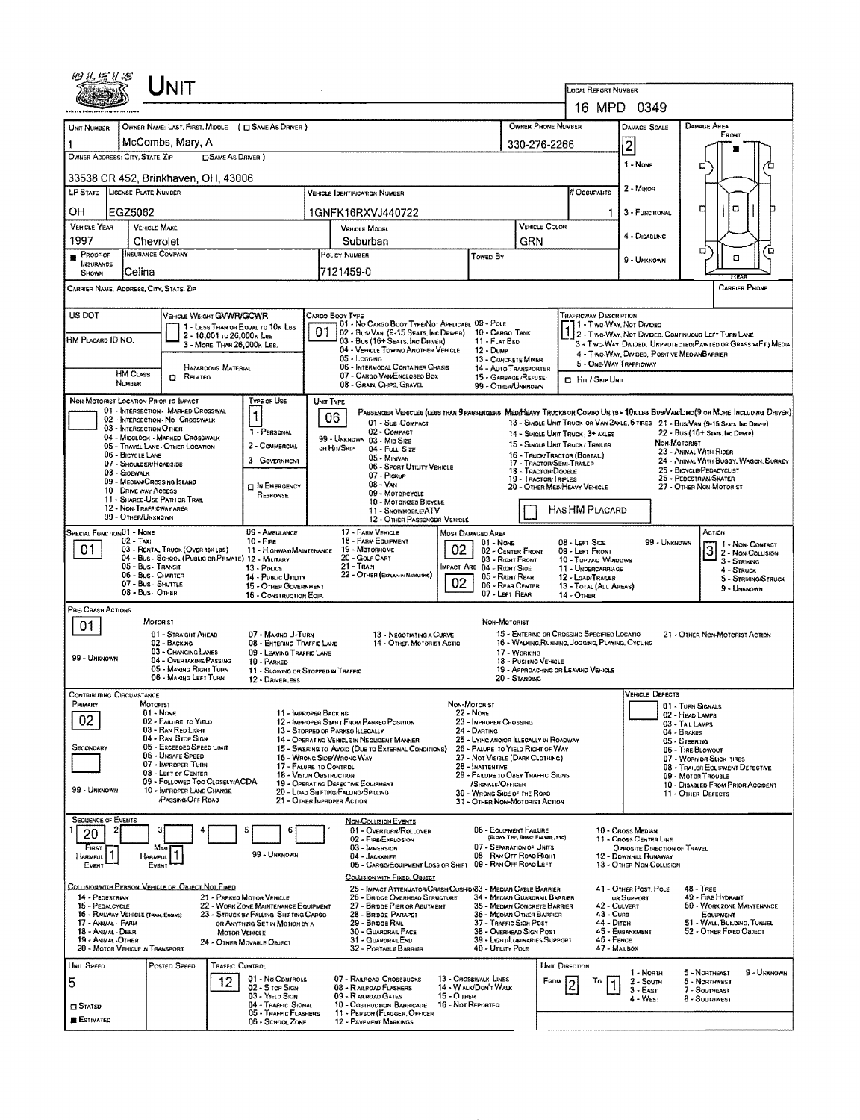|                                                                                                                                                                                                                                                                                                                       |                                                | ${\sf UnIT}$                                                                       |                                           |                                                                          |                                                                                                                          |                                                                                                                               |                                                                             |                                                               |                                                 |                                                              |                                                                  |                                                          |                                    |                                                                                                                 |      |             |
|-----------------------------------------------------------------------------------------------------------------------------------------------------------------------------------------------------------------------------------------------------------------------------------------------------------------------|------------------------------------------------|------------------------------------------------------------------------------------|-------------------------------------------|--------------------------------------------------------------------------|--------------------------------------------------------------------------------------------------------------------------|-------------------------------------------------------------------------------------------------------------------------------|-----------------------------------------------------------------------------|---------------------------------------------------------------|-------------------------------------------------|--------------------------------------------------------------|------------------------------------------------------------------|----------------------------------------------------------|------------------------------------|-----------------------------------------------------------------------------------------------------------------|------|-------------|
|                                                                                                                                                                                                                                                                                                                       |                                                |                                                                                    | <b>LOCAL REPORT NUMBER</b><br>16 MPD 0349 |                                                                          |                                                                                                                          |                                                                                                                               |                                                                             |                                                               |                                                 |                                                              |                                                                  |                                                          |                                    |                                                                                                                 |      |             |
|                                                                                                                                                                                                                                                                                                                       |                                                |                                                                                    |                                           |                                                                          | OWNER PHONE NUMBER                                                                                                       |                                                                                                                               |                                                                             | DAMAGE SCALE                                                  |                                                 | <b>DAMAGE AREA</b>                                           |                                                                  |                                                          |                                    |                                                                                                                 |      |             |
| UNIT NUMBER                                                                                                                                                                                                                                                                                                           |                                                | McCombs, Mary, A                                                                   |                                           | OWNER NAME: LAST, FIRST, MIDDLE ( $\Box$ SAME AS DRIVER )                |                                                                                                                          |                                                                                                                               |                                                                             |                                                               | 330-276-2266                                    |                                                              | FRONT                                                            |                                                          |                                    |                                                                                                                 |      |             |
| OWNER ADDRESS: CITY, STATE, ZIP                                                                                                                                                                                                                                                                                       |                                                |                                                                                    | <b>DSAME AS DRIVER</b> )                  |                                                                          |                                                                                                                          |                                                                                                                               |                                                                             |                                                               |                                                 |                                                              |                                                                  | $\overline{2}$<br>1 - NONE                               |                                    |                                                                                                                 |      |             |
| 33538 CR 452, Brinkhaven, OH, 43006                                                                                                                                                                                                                                                                                   |                                                |                                                                                    |                                           |                                                                          |                                                                                                                          |                                                                                                                               |                                                                             |                                                               |                                                 |                                                              |                                                                  |                                                          |                                    | □                                                                                                               |      |             |
| LP STATE LICENSE PLATE NUMBER                                                                                                                                                                                                                                                                                         |                                                |                                                                                    |                                           |                                                                          |                                                                                                                          | <b>VEHICLE IDENTIFICATION NUMBER</b>                                                                                          |                                                                             |                                                               |                                                 |                                                              | # Occupants                                                      | 2 - MINOR                                                |                                    |                                                                                                                 |      |             |
| OН                                                                                                                                                                                                                                                                                                                    | EGZ5062                                        |                                                                                    |                                           |                                                                          |                                                                                                                          | 1GNFK16RXVJ440722                                                                                                             |                                                                             |                                                               |                                                 |                                                              | 1                                                                | 3 - FUNCTIONAL                                           |                                    | $\Box$<br>а                                                                                                     |      |             |
| <b>VEHICLE YEAR</b><br>1997                                                                                                                                                                                                                                                                                           |                                                | <b>VEHICLE MAKE</b><br>Chevrolet                                                   |                                           |                                                                          |                                                                                                                          | <b>VEHICLE MODEL</b><br>Suburban                                                                                              |                                                                             |                                                               | GRN                                             | VEHICLE COLOR                                                |                                                                  | 4 - DISABLING                                            |                                    |                                                                                                                 |      |             |
| PROOF OF                                                                                                                                                                                                                                                                                                              |                                                | <b>INSURANCE COMPANY</b>                                                           |                                           |                                                                          | POLICY NUMBER<br>Toweo By                                                                                                |                                                                                                                               |                                                                             |                                                               |                                                 |                                                              |                                                                  | 9 - UNKNOWN                                              |                                    | σ<br>α                                                                                                          |      | ם           |
| INSURANCS<br>SHOWN                                                                                                                                                                                                                                                                                                    | Celina                                         |                                                                                    |                                           |                                                                          |                                                                                                                          | 7121459-0                                                                                                                     |                                                                             |                                                               |                                                 |                                                              |                                                                  |                                                          |                                    |                                                                                                                 | सम्ब |             |
| <b>CARRIER PHONE</b><br>CARRIER NAME, ADDRESS, CITY, STATE, ZIP                                                                                                                                                                                                                                                       |                                                |                                                                                    |                                           |                                                                          |                                                                                                                          |                                                                                                                               |                                                                             |                                                               |                                                 |                                                              |                                                                  |                                                          |                                    |                                                                                                                 |      |             |
| US DOT<br>TRAFFICWAY DESCRIPTION<br>VEHICLE WEIGHT GVWR/GCWR<br>Cargo Body Type                                                                                                                                                                                                                                       |                                                |                                                                                    |                                           |                                                                          |                                                                                                                          |                                                                                                                               |                                                                             |                                                               |                                                 |                                                              |                                                                  |                                                          |                                    |                                                                                                                 |      |             |
| HM PLACARD ID NO.                                                                                                                                                                                                                                                                                                     |                                                |                                                                                    | 2 - 10,001 to 26,000k Les                 | 1 - LESS THAN OR EQUAL TO 10K LBS                                        | 01                                                                                                                       | 01 - No CARGO BOOY TYPE/NOT APPLICABL 09 - POLE<br>02 - Bus Van (9-15 Seats, Inc Driver)<br>03 - Bus (16+ Seats, Inc Driver)  |                                                                             | 10 - CARGO TANK<br>11 - FLAT BED                              |                                                 |                                                              | 1 - Two Way, Not Divideo                                         |                                                          |                                    | 2 - Two-Way, Not Divideo, Continuous Left Turn Lane                                                             |      |             |
|                                                                                                                                                                                                                                                                                                                       |                                                |                                                                                    | 3 - MORE THAN 26,000K LBS.                |                                                                          |                                                                                                                          | 04 - VEHICLE TOWING ANOTHER VEHICLE<br>$05 -$ LOGGING                                                                         |                                                                             | <b>12 - Dump</b><br>13 - CONCRETE MIXER                       |                                                 |                                                              |                                                                  |                                                          |                                    | 3 - Two-WAY, Divided, UNPROTECTED(PAINTED OR GRASS >4FT.) MEDIA<br>4 - Two-Way, Divided, Positive MeovanBarrier |      |             |
|                                                                                                                                                                                                                                                                                                                       | <b>HM CLASS</b>                                | D.<br>RELATEO                                                                      | HAZAROOUS MATERIAL                        |                                                                          |                                                                                                                          | 06 - INTERMODAL CONTAINER CHASIS<br>07 - CARGO VAN ENCLOSEO BOX                                                               |                                                                             | 14 - AUTO TRANSPORTER<br>15 - GARBAGE /REFUSE                 |                                                 |                                                              | 5 - ONE-WAY TRAFFICWAY<br><b>D</b> Hir/SkipUNit                  |                                                          |                                    |                                                                                                                 |      |             |
|                                                                                                                                                                                                                                                                                                                       | NUMBER                                         |                                                                                    |                                           |                                                                          |                                                                                                                          | 08 - GRAN, CHIPS, GRAVEL                                                                                                      |                                                                             | 99 - OTHER/UNKNOWN                                            |                                                 |                                                              |                                                                  |                                                          |                                    |                                                                                                                 |      |             |
| NON-MOTORIST LOCATION PRIOR TO IMPACT                                                                                                                                                                                                                                                                                 |                                                | 01 - INTERSECTION - MARKED CROSSWAL                                                |                                           | TYPE OF USE<br>1                                                         | UNIT TYPE                                                                                                                | PASSENGER VEHICLES (LESS THAN 9 PASSENGERS MEDIMEANY TRUCKS OR COMBO UNITS > 10K LBS BUS/VAN/LIMO(9 OR MORE INCLUDING DRIVER) |                                                                             |                                                               |                                                 |                                                              |                                                                  |                                                          |                                    |                                                                                                                 |      |             |
| 06<br>02 - INTERSECTION - NO CROSSWALK<br>01 - Sus COMPACT<br>13 - SINGLE UNIT TRUCK OR VAN 2AXLE, 6 TRES 21 - BUS/VAN (9-15 SEATS INC DRIVER)<br>03 - INTERSECTION OTHER<br>1 - PERSONAL<br>02 - COMPACT<br>22 - BUS (16+ Sears, Inc Driver)<br>14 - SINGLE UNIT TRUCK; 3+ AXLES<br>04 - MIDBLOCK - MARKED CROSSWALK |                                                |                                                                                    |                                           |                                                                          |                                                                                                                          |                                                                                                                               |                                                                             |                                                               |                                                 |                                                              |                                                                  |                                                          |                                    |                                                                                                                 |      |             |
|                                                                                                                                                                                                                                                                                                                       | 06 - BICYCLE LANE                              | 05 - TRAVEL LANE - OTHER LOCATION                                                  |                                           | 2 - COMMERCIAL                                                           |                                                                                                                          | 99 - UNKNOWN 03 - MID SIZE<br>OR HIT/SKIP<br>04 - FULL SIZE<br>05 - Minivan                                                   |                                                                             |                                                               |                                                 |                                                              | 15 - SINGLE UNIT TRUCK / TRAILER<br>16 - TRUCK/TRACTOR (BOBTAR.) |                                                          | Non-Motoriet                       | 23 - ANIMAL WITH RIDER                                                                                          |      |             |
|                                                                                                                                                                                                                                                                                                                       | 07 - SHOULDER/ROADSIDE<br>08 - SIDEWALK        |                                                                                    |                                           | 3 - GOVERNMENT                                                           |                                                                                                                          | 06 - SPORT UTILITY VEHICLE<br>07 - Pickup                                                                                     |                                                                             |                                                               | 17 - TRACTOR/SEMI-TRALER<br>18 - TRACTOR DOUBLE |                                                              |                                                                  |                                                          |                                    | 24 - ANIMAL WITH BUGGY, WAGON, SURREY<br>25 - BICYCLE/PEDACYCLIST<br>26 - Pedestrian/Skater                     |      |             |
|                                                                                                                                                                                                                                                                                                                       | 10 - DRIVE WAY ACCESS                          | 09 - MEDIAN CROSSING ISLAND                                                        |                                           | <b>DIN EMERGENCY</b><br>RESPONSE                                         | $08 - V_{AN}$<br>09 - MOTORCYCLE                                                                                         |                                                                                                                               |                                                                             |                                                               |                                                 | 19 - TRACTOR/TRIPLES                                         | 20 - OTHER MEDIHEAVY VEHICLE                                     |                                                          | 27 - OTHER NON-MOTORIST            |                                                                                                                 |      |             |
|                                                                                                                                                                                                                                                                                                                       | 12 - NON-TRAFFICWAY AREA<br>99 - OTHER/UNKNOWN | 11 - SHARED-USE PATH OR TRAIL                                                      |                                           |                                                                          | 10 - MOTORIZED BICYCLE<br>11 - SNOWMOBLE/ATV                                                                             |                                                                                                                               |                                                                             |                                                               |                                                 |                                                              | HAS HM PLACARD                                                   |                                                          |                                    |                                                                                                                 |      |             |
| SPECIAL FUNCTION 01 - NONE                                                                                                                                                                                                                                                                                            |                                                |                                                                                    |                                           | 09 - AMBULANCE                                                           | 12 - OTHER PASSENGER VEHICLE<br>17 - FARM VEHICLE<br>MOST DAMAGEO AREA<br>18 - FARM EQUIPMENT                            |                                                                                                                               |                                                                             |                                                               |                                                 |                                                              |                                                                  |                                                          |                                    | ACTION                                                                                                          |      |             |
| 01                                                                                                                                                                                                                                                                                                                    | 02 - TAXI                                      | 03 - RENTAL TRUCK (OVER 10K LBS)                                                   |                                           | $10 -$ Fing<br>11 - HIGHWAY/MAINTENANCE                                  |                                                                                                                          | 01 - NONE<br>02 - CENTER FRONT                                                                                                |                                                                             |                                                               | 08 - LEFT SIDE<br>09 - LEFT FRONT               |                                                              | 99 - Unknown                                                     | 3 2 - NON-COLUSION                                       | 1 - Non-Contact                    |                                                                                                                 |      |             |
|                                                                                                                                                                                                                                                                                                                       | 05 - Bus - Transit<br>06 - Bus - Charter       | 04 - Bus - School (Public or Private) 12 - Military                                |                                           | 13 - POLICE                                                              | 02<br>20 - GOLF CART<br>03 - RIGHT FRONT<br>21 - Tran<br>MPACT ARE 04 - RIGHT SIDE<br>22 - OTHER (EXPLAN IN NASRATIVE)   |                                                                                                                               |                                                                             |                                                               |                                                 |                                                              | 10 - Top and Windows<br>11 - UNDERCARRIAGE                       |                                                          |                                    | 3 - STRIKING<br>4 - Struck                                                                                      |      |             |
|                                                                                                                                                                                                                                                                                                                       | 07 - Bus - SHUTTLE<br>08 - Bus. OTHER          |                                                                                    |                                           | 14 - Pusuc Unury<br>15 - OTHER GOVERNMENT<br>16 - CONSTRUCTION EQIP.     | 05 - Right Rear<br>02<br>06 - REAR CENTER<br>07 - Left Rear                                                              |                                                                                                                               |                                                                             |                                                               |                                                 |                                                              | 12 - LOAD/TRAILER<br>13 - TOTAL (ALL AREAS)<br>14 - Отнея        |                                                          | 5 - STRIKINO/STRUCK<br>9 - Unknown |                                                                                                                 |      |             |
| PRE-CRASH ACTIONS                                                                                                                                                                                                                                                                                                     |                                                |                                                                                    |                                           |                                                                          |                                                                                                                          |                                                                                                                               |                                                                             |                                                               |                                                 |                                                              |                                                                  |                                                          |                                    |                                                                                                                 |      |             |
| 01                                                                                                                                                                                                                                                                                                                    |                                                | <b>MOTORIST</b><br>01 - STRAIGHT AHEAD                                             |                                           | 07 - MAKING U-TURN                                                       |                                                                                                                          | 13 - Negotiating a Curve                                                                                                      |                                                                             | NON-MOTORIST                                                  |                                                 |                                                              | 15 - ENTERING OR CROSSING SPECIFIED LOCATIO                      |                                                          |                                    | 21 - OTHER NON-MOTORIST ACTION                                                                                  |      |             |
|                                                                                                                                                                                                                                                                                                                       |                                                | 02 - BACKING<br>03 - CHANGING LANES                                                |                                           | 08 - ENTERING TRAFFIC LANE<br>09 - LEAVING TRAFFIC LANE                  |                                                                                                                          | 14 - OTHER MOTORIST ACTIO                                                                                                     |                                                                             |                                                               | 17 - WORKING                                    |                                                              | 16 - WALKING, RUNNING, JOGGING, PLAYING, CYCLING                 |                                                          |                                    |                                                                                                                 |      |             |
| 99 - UNKNOWN                                                                                                                                                                                                                                                                                                          |                                                | 04 - OVERTAKING/PASSING<br>05 - MAKING RIGHT TURN                                  |                                           | 10 - PARKED<br>11 - SLOWING OR STOPPED IN TRAFFIC                        |                                                                                                                          |                                                                                                                               |                                                                             |                                                               | 18 - PUSHING VEHICLE                            |                                                              | 19 - APPROACHING OR LEAVING VEHICLE                              |                                                          |                                    |                                                                                                                 |      |             |
| <b>CONTRIBUTING CIRCUMSTANCE</b>                                                                                                                                                                                                                                                                                      |                                                | 06 - MAKING LEFT TURN                                                              |                                           | 12 - DAVERLESS                                                           |                                                                                                                          |                                                                                                                               |                                                                             |                                                               | 20 - STANDING                                   |                                                              |                                                                  | VEHICLE DEFECTS                                          |                                    |                                                                                                                 |      |             |
| Primary                                                                                                                                                                                                                                                                                                               |                                                | MOTORIST<br>$01 - None$                                                            |                                           |                                                                          | 11 - IMPROPER BACKING                                                                                                    |                                                                                                                               |                                                                             | Non-Mororist<br>22 - NONE                                     |                                                 |                                                              |                                                                  |                                                          |                                    | 01 - TURN SIGNALS                                                                                               |      |             |
| 02                                                                                                                                                                                                                                                                                                                    |                                                | 02 - FAILURE TO YIELD<br>03 - RAN RED LIGHT                                        |                                           |                                                                          |                                                                                                                          | 12 - IMPROPER START FROM PARKED POSITION<br>13 - STOPPED OR PARKEO ILLEGALLY                                                  |                                                                             | 23 - IMPROPER CROSSING<br>24 - DARTING                        |                                                 |                                                              |                                                                  | 02 - HEAD LAMPS<br>03 - TAIL LAMPS<br>04 - BRAKES        |                                    |                                                                                                                 |      |             |
| SECONDARY                                                                                                                                                                                                                                                                                                             |                                                | 04 - RAN STOP SIGN<br>05 - Excesoso Speso Limit                                    |                                           |                                                                          |                                                                                                                          | 14 - OPERATING VEHICLE IN NEGLIGENT MANNER<br>15 - Swering to Avoid (Due to External Conditions)                              | 25 - LYING ANO/OR ILLEGALLY IN ROADWAY<br>26 - FALURE TO YIELD RIGHT OF WAY |                                                               |                                                 |                                                              |                                                                  |                                                          |                                    | 05 - STEERING<br>06 - TIRE BLOWOUT                                                                              |      |             |
|                                                                                                                                                                                                                                                                                                                       |                                                | 06 - UNSAFE SPEED<br>07 - IMPROPER TURN                                            |                                           |                                                                          | 17 - FALURE TO CONTROL                                                                                                   | 16 - WRONG SIDE/WRONG WAY                                                                                                     |                                                                             |                                                               |                                                 | 07 - WORN OR SLICK TIRES<br>08 - TRAILER EQUIPMENT DEFECTIVE |                                                                  |                                                          |                                    |                                                                                                                 |      |             |
| 99 - UNKNOWN                                                                                                                                                                                                                                                                                                          |                                                | 08 - LEFT OF CENTER<br>09 - FOLLOWED TOO CLOSELY/ACDA<br>10 - IMPROPER LANE CHANGE |                                           |                                                                          | 18 - VISION OBSTRUCTION                                                                                                  | 19 - OPERATING DEFECTIVE EQUIPMENT<br>20 - LOAD SHIFTING/FALLING/SPILLING                                                     | 29 - FAILURE TO OBEY TRAFFIC SIGNS                                          |                                                               |                                                 |                                                              |                                                                  | 09 - MOTOR TROUBLE<br>10 - DISABLED FROM PRIOR ACCIDENT  |                                    |                                                                                                                 |      |             |
|                                                                                                                                                                                                                                                                                                                       |                                                | <b>PASSING OFF ROAD</b>                                                            |                                           |                                                                          | 21 - OTHER IMPROPER ACTION                                                                                               |                                                                                                                               |                                                                             | 30 - WRONG SIDE OF THE ROAD<br>31 - OTHER NON-MOTORIST ACTION |                                                 |                                                              |                                                                  |                                                          |                                    | 11 - OTHER DEFECTS                                                                                              |      |             |
| <b>SEQUENCE OF EVENTS</b><br>2                                                                                                                                                                                                                                                                                        |                                                | з                                                                                  |                                           | 6                                                                        |                                                                                                                          | <b>NON-COLLISION EVENTS</b><br>01 - OVERTURN/ROLLOVER                                                                         |                                                                             | 06 - EQUIPMENT FAILURE                                        |                                                 |                                                              |                                                                  | 10 - Cross Median                                        |                                    |                                                                                                                 |      |             |
| 20<br>FIRST                                                                                                                                                                                                                                                                                                           |                                                | Ması                                                                               |                                           |                                                                          |                                                                                                                          | 02 - FIRE/EXPLOSION<br>03 - IMMERSION                                                                                         |                                                                             | 07 - SEPARATION OF UNITS                                      | (BLOWN TIRE, BRAKE FALURE, ETC)                 |                                                              |                                                                  | 11 - Cross Center Line<br>OPPOSITE DIRECTION OF TRAVEL   |                                    |                                                                                                                 |      |             |
| Harmful.<br>EVENT                                                                                                                                                                                                                                                                                                     |                                                | HARMFUL<br>EVENT                                                                   |                                           | 99 - UNKNOWN                                                             |                                                                                                                          | 04 - JACKKNIFE<br>05 - CARGO/EQUIPMENT LOSS OR SHIFT 09 - RAN OFF ROAD LEFT                                                   |                                                                             | 08 - RAN OFF ROAD RIGHT                                       |                                                 |                                                              |                                                                  | <b>12 - DOWNHILL RUNAWAY</b><br>13 - OTHER NON-COLLISION |                                    |                                                                                                                 |      |             |
|                                                                                                                                                                                                                                                                                                                       |                                                | COLLISION WITH PERSON, VEHICLE OR OBJECT NOT FIXED                                 |                                           |                                                                          |                                                                                                                          | COLLISION WITH FIXED, OBJECT<br>25 - IMPACT ATTENUATOR/CRASH CUSHIDI83 - MEDIAN CABLE BARRIER                                 |                                                                             |                                                               |                                                 |                                                              |                                                                  | 41 - Отнея Разт, Роце                                    |                                    | 48 - TREE                                                                                                       |      |             |
| 14 - PEDESTRIAN<br>15 - PEDALCYCLE                                                                                                                                                                                                                                                                                    |                                                |                                                                                    |                                           | 21 - PARKED MOTOR VEHICLE<br>22 - WORK ZONE MAINTENANCE EQUIPMENT        |                                                                                                                          | 26 - BRIDGE OVERHEAD STRUCTURE<br>27 - BRIDGE PIER OR ABUTMENT                                                                |                                                                             | 34 - MEDIAN GUARDRAIL BARRIER<br>35 - MEDIAN CONCRETE BARRIER |                                                 |                                                              |                                                                  | OR SUPPORT<br>42 - CULVERT                               |                                    | 49 - FIRE HYDRANT<br>50 - WORK ZONE MAINTENANCE                                                                 |      |             |
| 16 - RAILWAY VEHICLE (TRAIN, ENGINE)<br>17 Annial Farm                                                                                                                                                                                                                                                                |                                                |                                                                                    |                                           | 23 - STRUCK BY FALLING, SHIFTING CARGO<br>OR ANYTHING SET IN MOTION BY A | 28 - BRIDGE PARAPET<br>36 - MEOIAN OTHER BARRIER<br>29 - BROGE RAIL<br>37 - TRAFFIC SIGN PDST<br>38 - Overhead Sign Post |                                                                                                                               |                                                                             |                                                               |                                                 |                                                              | 43 - Curs<br>44 - Опен                                           | 51 - WALL, BUILDING, TUNNEL                              |                                    |                                                                                                                 |      |             |
| 18 - Animal - Deer<br>19 - ANIMAL-OTHER<br>20 - MOTOR VEHICLE IN TRANSPORT                                                                                                                                                                                                                                            |                                                |                                                                                    | <b>MOTOR VEHICLE</b>                      | 24 - OTHER MOVABLE OBJECT                                                |                                                                                                                          | 30 - GUARDRAIL FACE<br>31 - GUARDRAILEND<br>32 - PORTABLE BARRIER                                                             |                                                                             | 39 - LIGHT/LUMINARIES SUPPORT<br>40 - Utility Pole            |                                                 |                                                              | 46 - FENCE                                                       | 45 - Embankment<br>47 - Mailbox                          |                                    | 52 - OTHER FIXED OBJECT                                                                                         |      |             |
| UNIT SPEED                                                                                                                                                                                                                                                                                                            |                                                | Postep Speep                                                                       | TRAFFIC CONTROL                           |                                                                          |                                                                                                                          |                                                                                                                               |                                                                             |                                                               |                                                 | UNIT DIRECTION                                               |                                                                  |                                                          |                                    |                                                                                                                 |      |             |
| 5                                                                                                                                                                                                                                                                                                                     |                                                |                                                                                    | 12                                        | 01 - No CONTROLS<br>02 - S TOP SIGN                                      |                                                                                                                          | 07 - RAILROAD CROSSBUCKS<br>08 - RAILROAD FLASHERS                                                                            |                                                                             | 13 - Crosswalk Lines<br>14 - WALK/DON'T WALK                  |                                                 | FROM                                                         | To                                                               | 1 - North<br>2 - South<br>$3 - EAST$                     |                                    | 5 - Northeast<br>6 - NORTHWEST<br>7 - SOUTHEAST                                                                 |      | 9 - Unknown |
| $\Box$ Stated                                                                                                                                                                                                                                                                                                         |                                                |                                                                                    |                                           | 03 - YIELD SIGN<br>04 - TRAFFIC SIGNAL                                   |                                                                                                                          | 09 - RAILROAD GATES<br>10 - COSTRUCTION BARRICADE                                                                             | 15 - О тиев<br>16 - Not Reported                                            |                                                               |                                                 |                                                              |                                                                  | 4 - West                                                 |                                    | 8 - Southwest                                                                                                   |      |             |
| <b>ESTIMATED</b>                                                                                                                                                                                                                                                                                                      |                                                |                                                                                    |                                           | 05 - TRAFFIC FLASHERS<br>06 - SCHOOL ZONE                                |                                                                                                                          | 11 - PERSON (FLAGGER, OFFICER<br><b>12 - PAVEMENT MARKINGS</b>                                                                |                                                                             |                                                               |                                                 |                                                              |                                                                  |                                                          |                                    |                                                                                                                 |      |             |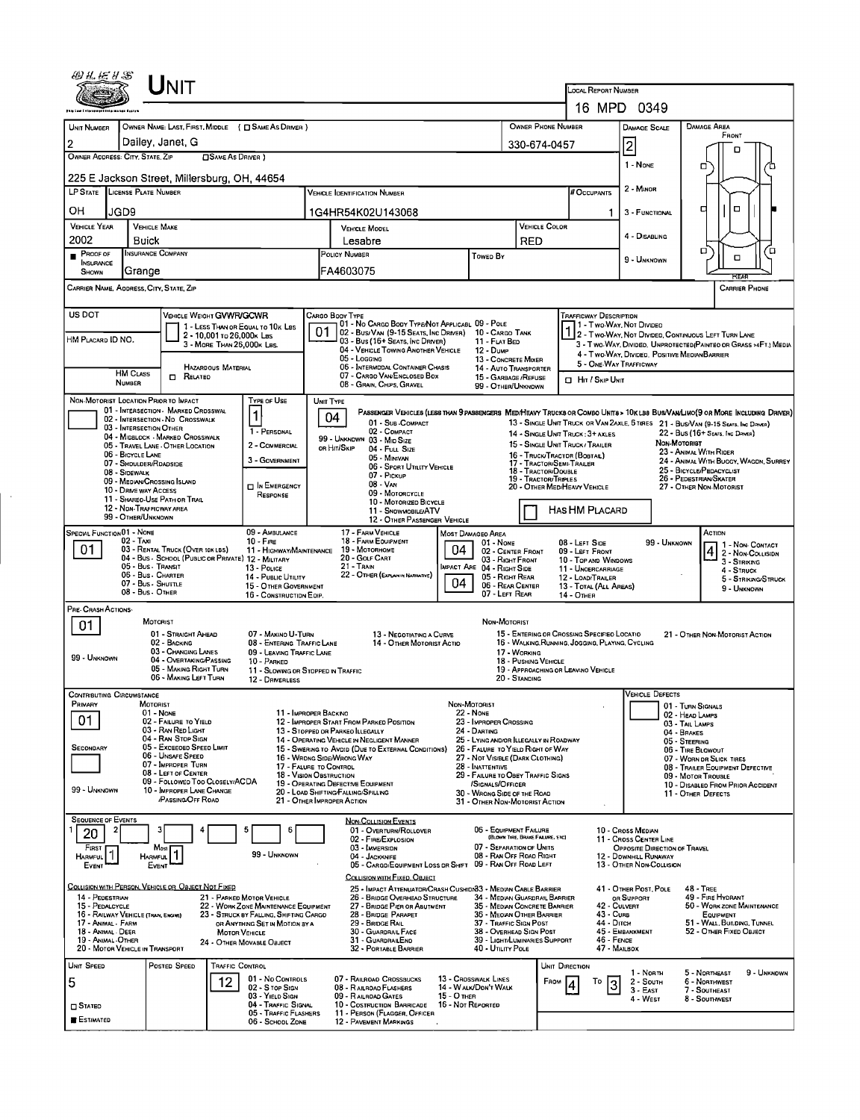|                                                                                                                                                                                                                                                                                                                                                                                        |                                                              | Unit                                                                        |                                                         |                                                                         |                                                                                                    |                                                                                                                                  |                                                                       |                                                                                                                   |                                       |                                                                      |                                                                 |                                                                                   |                                    |                                                                                                                            |                                         |  |  |
|----------------------------------------------------------------------------------------------------------------------------------------------------------------------------------------------------------------------------------------------------------------------------------------------------------------------------------------------------------------------------------------|--------------------------------------------------------------|-----------------------------------------------------------------------------|---------------------------------------------------------|-------------------------------------------------------------------------|----------------------------------------------------------------------------------------------------|----------------------------------------------------------------------------------------------------------------------------------|-----------------------------------------------------------------------|-------------------------------------------------------------------------------------------------------------------|---------------------------------------|----------------------------------------------------------------------|-----------------------------------------------------------------|-----------------------------------------------------------------------------------|------------------------------------|----------------------------------------------------------------------------------------------------------------------------|-----------------------------------------|--|--|
|                                                                                                                                                                                                                                                                                                                                                                                        |                                                              |                                                                             |                                                         |                                                                         | LOCAL REPORT NUMBER<br>16 MPD 0349                                                                 |                                                                                                                                  |                                                                       |                                                                                                                   |                                       |                                                                      |                                                                 |                                                                                   |                                    |                                                                                                                            |                                         |  |  |
|                                                                                                                                                                                                                                                                                                                                                                                        |                                                              |                                                                             |                                                         | <b>OWNER PHONE NUMBER</b>                                               |                                                                                                    | <b>DAMAGE SCALE</b>                                                                                                              |                                                                       | <b>DAMAGE AREA</b>                                                                                                |                                       |                                                                      |                                                                 |                                                                                   |                                    |                                                                                                                            |                                         |  |  |
| UNIT NUMBER<br>$\overline{2}$                                                                                                                                                                                                                                                                                                                                                          |                                                              | Dailey, Janet, G                                                            |                                                         | OWNER NAME: LAST, FIRST, MIDDLE ( C SAME AS DRIVER )                    |                                                                                                    |                                                                                                                                  |                                                                       |                                                                                                                   | 330-674-0457                          |                                                                      | FRONT                                                           |                                                                                   |                                    |                                                                                                                            |                                         |  |  |
| OWNER ADDRESS: CITY, STATE, ZIP                                                                                                                                                                                                                                                                                                                                                        |                                                              |                                                                             |                                                         |                                                                         | 2 <br>1 - NONE                                                                                     |                                                                                                                                  | n                                                                     |                                                                                                                   |                                       |                                                                      |                                                                 |                                                                                   |                                    |                                                                                                                            |                                         |  |  |
| 225 E Jackson Street, Millersburg, OH, 44654                                                                                                                                                                                                                                                                                                                                           |                                                              |                                                                             |                                                         |                                                                         |                                                                                                    |                                                                                                                                  |                                                                       |                                                                                                                   |                                       |                                                                      |                                                                 |                                                                                   | о                                  |                                                                                                                            |                                         |  |  |
| LP STATE LICENSE PLATE NUMBER                                                                                                                                                                                                                                                                                                                                                          |                                                              |                                                                             |                                                         |                                                                         |                                                                                                    | <b>VEHICLE IDENTIFICATION NUMBER</b>                                                                                             |                                                                       |                                                                                                                   |                                       |                                                                      | # Occupants                                                     | 2 - MINOR                                                                         |                                    |                                                                                                                            |                                         |  |  |
| OН                                                                                                                                                                                                                                                                                                                                                                                     | JGD9                                                         |                                                                             |                                                         |                                                                         |                                                                                                    | 1G4HR54K02U143068                                                                                                                |                                                                       |                                                                                                                   |                                       |                                                                      |                                                                 | 3 - FUNCTIONAL                                                                    |                                    | о<br>а                                                                                                                     |                                         |  |  |
| VEHICLE YEAR<br>2002                                                                                                                                                                                                                                                                                                                                                                   | Buick                                                        | <b>VEHICLE MAKE</b>                                                         |                                                         |                                                                         |                                                                                                    | <b>VEHICLE MODEL</b><br>Lesabre                                                                                                  |                                                                       | <b>VEHICLE COLOR</b><br><b>RED</b>                                                                                |                                       |                                                                      | 4 - DISABLING                                                   |                                                                                   |                                    |                                                                                                                            |                                         |  |  |
| Proof of<br><b>INSURANCE</b>                                                                                                                                                                                                                                                                                                                                                           |                                                              | <b>INSURANCE COMPANY</b>                                                    |                                                         |                                                                         | POLICY NUMBER<br>Toweo By                                                                          |                                                                                                                                  |                                                                       |                                                                                                                   |                                       |                                                                      |                                                                 | 9 - UNKNOWN                                                                       |                                    | ο<br>о                                                                                                                     | ้ต                                      |  |  |
| SHOWN<br>CARRIER NAME, ADDRESS, CITY, STATE, ZIP                                                                                                                                                                                                                                                                                                                                       | Grange                                                       |                                                                             |                                                         |                                                                         |                                                                                                    | FA4603075                                                                                                                        |                                                                       |                                                                                                                   |                                       |                                                                      |                                                                 |                                                                                   |                                    |                                                                                                                            | <b>CARRIER PHONE</b>                    |  |  |
|                                                                                                                                                                                                                                                                                                                                                                                        |                                                              |                                                                             |                                                         |                                                                         |                                                                                                    |                                                                                                                                  |                                                                       |                                                                                                                   |                                       |                                                                      |                                                                 |                                                                                   |                                    |                                                                                                                            |                                         |  |  |
| US DOT<br>VEHICLE WEIGHT GVWR/GCWR<br>TRAFFICWAY DESCRIPTION<br>Cargo Booy Type<br>01 - No CARGO BOOY TYPE/NOT APPLICABL 09 - POLE<br>1 - Two Way, Not Divideo<br>1 - LESS THAN OR EQUAL TO 10K LBS                                                                                                                                                                                    |                                                              |                                                                             |                                                         |                                                                         |                                                                                                    |                                                                                                                                  |                                                                       |                                                                                                                   |                                       |                                                                      |                                                                 |                                                                                   |                                    |                                                                                                                            |                                         |  |  |
| HM PLACARD ID NO.                                                                                                                                                                                                                                                                                                                                                                      |                                                              |                                                                             | 2 - 10,001 to 26,000x Las<br>3 - MORE THAN 26,000K LBS. |                                                                         | 01                                                                                                 | 02 - Bus/VAN (9-15 SEATS, INC DRIVER) 10 - CARGO TANK<br>03 - Bus (16+ SEATS, INC DRIVER)<br>04 - VEHICLE TOWING ANOTHER VEHICLE |                                                                       | 11 - FLAT BED                                                                                                     |                                       |                                                                      |                                                                 |                                                                                   |                                    | 1 2 - T WO-WAY, NOT DIVIDED, CONTINUOUS LEFT TURN LANE<br>3 - Two-WAY, DIVIDEO, UNPROTECTED (PAINTEO OR GRASS >4FT.) MEDIA |                                         |  |  |
|                                                                                                                                                                                                                                                                                                                                                                                        |                                                              |                                                                             | HAZARDOUS MATERIAL                                      |                                                                         |                                                                                                    | 05 - Locging<br>06 - INTERMODAL CONTAINER CHASIS                                                                                 |                                                                       | 12 - Dump<br>13 - CONCRETE MIXER<br><b>14 - AUTO TRANSPORTER</b>                                                  |                                       |                                                                      | 5 - ONE-WAY TRAFFICWAY                                          |                                                                                   |                                    | 4 - Two WAY, DIVIDED, POSITIVE MEDIAN BARRIER                                                                              |                                         |  |  |
|                                                                                                                                                                                                                                                                                                                                                                                        | <b>HM CLASS</b><br><b>NUMBER</b>                             | RELATED                                                                     |                                                         |                                                                         |                                                                                                    | 07 - CARGO VAN ENCLOSED BOX<br>08 - GRAIN, CHIPS, GRAVEL                                                                         |                                                                       | 15 - GARBAGE / REFUSE<br>99 - OTHER/UNKNOWN                                                                       |                                       |                                                                      | <b>Q</b> Hit / Skip Unit                                        |                                                                                   |                                    |                                                                                                                            |                                         |  |  |
| NON-MOTORIST LOCATION PRIOR TO IMPACT                                                                                                                                                                                                                                                                                                                                                  |                                                              |                                                                             |                                                         | Type or Use                                                             | UNIT TYPE                                                                                          |                                                                                                                                  |                                                                       |                                                                                                                   |                                       |                                                                      |                                                                 |                                                                                   |                                    |                                                                                                                            |                                         |  |  |
| 01 - INTERSECTION - MARKED CROSSWAL<br>PASSENGER VEHICLES (LESS THAN 9 PASSENGERS MED/HEAVY TRUCKS OR COMBO UNITS > 10K LBS BUS/VAN/LIMO(9 OR MORE INCLUDING DRIVER)<br>1<br>04<br>02 - INTERSECTION ND CROSSWALK<br>01 - Sub-COMPACT<br>13 - SINGLE UNIT TRUCK OR VAN ZAXLE, 6 TIRES 21 - BUS/VAN (9-15 SEATS, INC DRIVER)<br>03 - INTERSECTION OTHER<br>1 - PERSONAL<br>02 - COMPACT |                                                              |                                                                             |                                                         |                                                                         |                                                                                                    |                                                                                                                                  |                                                                       |                                                                                                                   |                                       |                                                                      |                                                                 |                                                                                   |                                    |                                                                                                                            |                                         |  |  |
|                                                                                                                                                                                                                                                                                                                                                                                        |                                                              | 04 - MIDSLOCK - MARKED CROSSWALK<br>05 - TRAVEL LANE - OTHER LOCATION       |                                                         | 2 - COMMERCIAL                                                          |                                                                                                    | 99 - UNKNOWN 03 - MID SIZE<br>OR HIT/SKIP<br>04 - FULL SIZE                                                                      |                                                                       |                                                                                                                   |                                       | 14 - SINGLE UNIT TRUCK: 3+ AXLES<br>15 - SINGLE UNIT TRUCK / TRAILER |                                                                 |                                                                                   | NON-MOTORIST                       | 22 - Bus (16+ Seats, Inc Driver)<br>23 - ANIMAL WITH RIDER                                                                 |                                         |  |  |
|                                                                                                                                                                                                                                                                                                                                                                                        | 06 - BICYCLE LANE<br>07 - SHOULDER/ROADSIDE<br>08 - Sidewalk |                                                                             |                                                         | 3 - GOVERNMENT                                                          |                                                                                                    | 05 - MINIVAN<br>06 - SPORT UTILITY VEHICLE                                                                                       |                                                                       |                                                                                                                   | 18 - Tractor/Double                   | 16 - TRUCK/TRACTOR (BOBTAL)<br>17 - TRACTOR/SEMI-TRAILER             |                                                                 | 24 - ANIMAL WITH BUGGY, WAGON, SURREY<br>25 - BICYCLE/PEDACYCLIST                 |                                    |                                                                                                                            |                                         |  |  |
|                                                                                                                                                                                                                                                                                                                                                                                        | 10 - DRIVE WAY ACCESS                                        | 09 - MEDIAN/CROSSING ISLAND                                                 |                                                         | <b>DIN EMERGENCY</b>                                                    | 07 - Pickup<br>19 - Tractor/Triples<br>08 - Van<br>20 - OTHER MEDIHEAVY VEHICLE<br>09 - MOTORCYCLE |                                                                                                                                  |                                                                       |                                                                                                                   |                                       |                                                                      |                                                                 |                                                                                   |                                    | 26 - PEDESTRIAN/SKATER<br>27 - OTHER NON-MOTORIST                                                                          |                                         |  |  |
|                                                                                                                                                                                                                                                                                                                                                                                        | 12 - NON-TRAFFICWAY AREA                                     | 11 - Shareo Use Path or Trail                                               |                                                         | RESPONSE                                                                | 10 - MOTORIZED BICYCLE<br>11 - SNOWMOBILE/ATV                                                      |                                                                                                                                  |                                                                       |                                                                                                                   |                                       |                                                                      | <b>HAS HM PLACARD</b>                                           |                                                                                   |                                    |                                                                                                                            |                                         |  |  |
| 99 - OTHER/UNKNOWN<br><b>SPECIAL FUNCTION01 - NONE</b><br>09 - AMBULANCE                                                                                                                                                                                                                                                                                                               |                                                              |                                                                             |                                                         |                                                                         |                                                                                                    | 12 - OTHER PASSENGER VEHICLE<br>17 - FARM VEHICLE<br>MOST DAMAGEO AREA                                                           |                                                                       |                                                                                                                   |                                       |                                                                      |                                                                 |                                                                                   |                                    | ACTION                                                                                                                     |                                         |  |  |
| 02 - Taxi<br>$10 -$ Fire<br>01<br>03 - RENTAL TRUCK (OVER 10X LBS)<br>11 - HIGHWAY/MAINTENANCE                                                                                                                                                                                                                                                                                         |                                                              |                                                                             |                                                         |                                                                         | 18 - FARM EQUIPMENT<br>$01 - None$<br>19 - Мотовноме<br>04<br>02 - CENTER FRONT                    |                                                                                                                                  |                                                                       |                                                                                                                   |                                       |                                                                      | 08 - LEFT SIDE<br>09 - LEFT FRONT                               |                                                                                   | 99 - Unknown                       |                                                                                                                            | 1 - Non- CONTACT<br>4 2 - NON-COLLISION |  |  |
| 04 - Bus - School (Public or Private) 12 - MILITARY<br>05 - Bus - Transit<br>13 - Pouce<br>06 - Bus - Charter                                                                                                                                                                                                                                                                          |                                                              |                                                                             |                                                         |                                                                         |                                                                                                    | 20 - GOLF CART<br>03 - RIGHT FRONT<br><b>21 - TRAIN</b><br>MPACT ARE 04 - RIGHT SIDE<br>22 - OTHER (EXPLAIN IN NARRATIVE)        |                                                                       |                                                                                                                   |                                       |                                                                      | 10 - TOP AND WINDOWS<br>11 - UNOERCARRIAGE<br>12 - LOAD/TRAILER |                                                                                   |                                    |                                                                                                                            |                                         |  |  |
|                                                                                                                                                                                                                                                                                                                                                                                        | 07 - Bus - SHUTTLE<br>08 - Bus - OTHER                       |                                                                             |                                                         | 14 - PUBLIC UTILITY<br>15 - OTHER GOVERNMENT<br>16 - CONSTRUCTION EOIP. | 05 - RIGHT REAR<br>04<br>06 - REAR CENTER<br>07 - LEFT REAR                                        |                                                                                                                                  |                                                                       |                                                                                                                   |                                       |                                                                      | 13 - TOTAL (ALL AREAS)<br><b>14 - OTHER</b>                     |                                                                                   | 5 - STRIKING/STRUCK<br>9 - UNKNOWN |                                                                                                                            |                                         |  |  |
| PRE-CRASH ACTIONS-                                                                                                                                                                                                                                                                                                                                                                     |                                                              |                                                                             |                                                         |                                                                         |                                                                                                    |                                                                                                                                  |                                                                       |                                                                                                                   |                                       |                                                                      |                                                                 |                                                                                   |                                    |                                                                                                                            |                                         |  |  |
| 01                                                                                                                                                                                                                                                                                                                                                                                     |                                                              | MOTORIST<br>01 - STRAIGHT AHEAD                                             |                                                         | 07 - MAKINO U-TURN                                                      |                                                                                                    | 13 - NEGOTIATING A CURVE                                                                                                         |                                                                       | NON-MOTORIST                                                                                                      |                                       |                                                                      | 15 - ENTERING OR CROSSING SPECIFIED LOCATIO                     |                                                                                   |                                    | 21 - OTHER NON-MOTORIST ACTION                                                                                             |                                         |  |  |
| 99 - UNKNOWN                                                                                                                                                                                                                                                                                                                                                                           |                                                              | 02 - BACKING<br>03 - CHANGING LANES                                         |                                                         | 08 - ENTERING TRAFFIC LANE<br>09 - LEAVING TRAFFIC LANE                 |                                                                                                    | 14 - OTHER MOTORIST ACTIO                                                                                                        |                                                                       |                                                                                                                   | 17 - WORKING                          |                                                                      | 16 - WALKING.RUNNING, JOGGING, PLAYING. CYCLING                 |                                                                                   |                                    |                                                                                                                            |                                         |  |  |
|                                                                                                                                                                                                                                                                                                                                                                                        |                                                              | 04 - OVERTAKING/PASSING<br>05 - MAKING RIGHT TURN<br>06 - MAKING LEFT TURN  |                                                         | 10 - PARKED<br>11 - Slowing or Stopped in Traffic<br>12 - DRIVERLESS    |                                                                                                    |                                                                                                                                  |                                                                       |                                                                                                                   | 18 - PUSHING VEHICLE<br>20 - STANDING | 19 - APPROACHING OR LEAVINO VEHICLE                                  |                                                                 |                                                                                   |                                    |                                                                                                                            |                                         |  |  |
| <b>CONTRIBUTING CIRCUMSTANCE</b>                                                                                                                                                                                                                                                                                                                                                       |                                                              |                                                                             |                                                         |                                                                         |                                                                                                    |                                                                                                                                  |                                                                       |                                                                                                                   |                                       |                                                                      |                                                                 | <b>VEHICLE DEFECTS</b>                                                            |                                    |                                                                                                                            |                                         |  |  |
| Primary<br>01                                                                                                                                                                                                                                                                                                                                                                          | <b>MOTORIST</b>                                              | 01 - NONE                                                                   |                                                         | 11 - IMPROPER BACKINO                                                   |                                                                                                    |                                                                                                                                  |                                                                       | NON-MOTORIST<br><b>22 - NONE</b>                                                                                  |                                       |                                                                      |                                                                 |                                                                                   |                                    | 01 - TURN SIGNALS<br>02 - HEAD LAMPS                                                                                       |                                         |  |  |
|                                                                                                                                                                                                                                                                                                                                                                                        |                                                              | 02 - FAILURE TO YIELD<br>03 - RAN RED LIGHT<br>04 - RAN STOP SIGN           |                                                         |                                                                         |                                                                                                    | 12 - IMPROPER START FROM PARKED POSITION<br>13 - STOPPED OR PARKEO ILLEGALLY<br>14 - OPERATING VEHICLE IN NEGLIGENT MANNER       |                                                                       | 23 - IMPROPER CROSSING<br>24 - DARTING<br>25 - LYING AND/OR ILLEGALLY IN ROADWAY                                  |                                       |                                                                      |                                                                 |                                                                                   | 04 - BRAKES                        | 03 - TAIL LAMPS<br>05 - STEERING                                                                                           |                                         |  |  |
| SECONDARY                                                                                                                                                                                                                                                                                                                                                                              |                                                              | 05 - Exceeded Speed Limit<br>06 - Unsafe Speed                              |                                                         |                                                                         |                                                                                                    | 15 - SWERING TO AVOID (DUE TO EXTERNAL CONDITIONS)<br>16 - WRONG SIDE/WRONG WAY                                                  | 26 - FALURE TO YIELD RIGHT OF WAY<br>27 - NOT VISIBLE (DARK CLOTHING) |                                                                                                                   |                                       | 06 - TIRE BLOWOUT<br>07 - WORN OR SLICK TIRES                        |                                                                 |                                                                                   |                                    |                                                                                                                            |                                         |  |  |
|                                                                                                                                                                                                                                                                                                                                                                                        |                                                              | 07 - IMPROPER TURN<br>08 - LEFT OF CENTER<br>09 - Followed Too Closely/ACDA |                                                         |                                                                         |                                                                                                    | 17 - FALURE TO CONTROL<br>28 - INATTENTIVE<br>29 - FAILURE TO OBEY TRAFFIC SIGNS<br>18 - VISION OBSTRUCTION                      |                                                                       |                                                                                                                   |                                       |                                                                      |                                                                 | 08 - TRAILER EQUIPMENT DEFECTIVE<br>09 - MOTOR TROUBLE                            |                                    |                                                                                                                            |                                         |  |  |
| 99 - UNKNOWN                                                                                                                                                                                                                                                                                                                                                                           |                                                              | 10 - IMPROPER LANE CHANGE<br>/PASSING/OFF ROAD                              |                                                         |                                                                         |                                                                                                    | 19 - OPERATING DEFECTIVE EQUIPMENT<br>20 - LOAD SHIFTING/FALLING/SPILLING<br>21 - OTHER IMPROPER ACTION                          |                                                                       | /SIGNALS/OFFICER<br>30 - WRONG SIDE OF THE ROAD<br>31 - OTHER NON-MOTORIST ACTION                                 |                                       |                                                                      |                                                                 |                                                                                   |                                    | 10 - DISABLED FROM PRIOR ACCIDENT<br>11 - OTHER DEFECTS                                                                    |                                         |  |  |
| <b>SEQUENCE OF EVENTS</b>                                                                                                                                                                                                                                                                                                                                                              |                                                              |                                                                             |                                                         |                                                                         |                                                                                                    | <b>NON-COLLISION EVENTS</b>                                                                                                      |                                                                       |                                                                                                                   |                                       |                                                                      |                                                                 |                                                                                   |                                    |                                                                                                                            |                                         |  |  |
| 20                                                                                                                                                                                                                                                                                                                                                                                     |                                                              | з                                                                           |                                                         | 5<br>6                                                                  |                                                                                                    | 01 - OVERTURN/ROLLOVER<br>02 - FIRE/EXPLOSION                                                                                    |                                                                       | 06 - EQUIPMENT FAILURE                                                                                            | (BLOWN TIRE, BRAKE FAILURE, ETC)      |                                                                      |                                                                 | 10 - Cross Median<br>11 - Cross CENTER LINE                                       |                                    |                                                                                                                            |                                         |  |  |
| FIRST<br><b>HARMFUL</b><br>EVENT                                                                                                                                                                                                                                                                                                                                                       | <b>HARMFUL</b>                                               | Most<br>EVENT                                                               |                                                         | 99 - UNKNOWN                                                            |                                                                                                    | 03 - IMMERSION<br>04 - JACKKNIFE<br>05 - CARGD/EQUIPMENT LOSS OR SHIFT                                                           |                                                                       | 07 - SEPARATION OF UNITS<br>08 - RAN OFF ROAD RIGHT<br>09 - RAN OFF ROAD LEFT                                     |                                       |                                                                      |                                                                 | OPPOSITE DIRECTION OF TRAVEL<br>12 - DOWNHILL RUNAWAY<br>13 - OTHER NON-COLLISION |                                    |                                                                                                                            |                                         |  |  |
|                                                                                                                                                                                                                                                                                                                                                                                        |                                                              | COLLISION WITH PERSON, VEHICLE OR OBJECT NOT FIXED                          |                                                         |                                                                         |                                                                                                    | COLLISION WITH FIXED, OBJECT                                                                                                     |                                                                       |                                                                                                                   |                                       |                                                                      |                                                                 |                                                                                   |                                    |                                                                                                                            |                                         |  |  |
| 14 - PEDESTRIAN                                                                                                                                                                                                                                                                                                                                                                        |                                                              |                                                                             |                                                         | 21 - PARKED MOTOR VEHICLE                                               |                                                                                                    | 25 - IMPACT ATTENUATOR/CRASH CUSHION33 - MEDIAN CABLE BARRIER<br>26 - BRIDGE OVERHEAD STRUCTURE<br>27 - BRIDGE PIER OR ABUTMENT  |                                                                       | 34 - MEDIAN GUARDRAIL BARRIER<br>35 - MEDIAN CONCRETE BARRIER                                                     |                                       |                                                                      |                                                                 | 41 - OTHER POST, POLE<br>OR SUPPORT                                               |                                    | <b>48 - TREE</b><br>49 - Fire Hydrant                                                                                      |                                         |  |  |
| 15 - PEDALCYCLE<br>22 - WORK ZONE MAINTENANCE EQUIPMENT<br>16 - RAILWAY VEHICLE (TRAN, ENGINE)<br>23 - STRUCK BY FALLING, SHIFTING CARGO<br>17 - ANIMAL - FARM<br>OR ANYTHING SET IN MOTION BY A                                                                                                                                                                                       |                                                              |                                                                             |                                                         |                                                                         |                                                                                                    | 28 - BRIDGE PARAPET<br>29 - BRDGE RAIL                                                                                           | 36 - MEORN OTHER BARRIER<br>37 - Traffic Sign Post                    | 42 - CULVERT<br>50 - WORK ZONE MAINTENANCE<br>43 - Cuns<br>EQUIPMENT<br>44 - Dітсн<br>51 - WALL, BUILDING, TUNNEL |                                       |                                                                      |                                                                 |                                                                                   |                                    |                                                                                                                            |                                         |  |  |
| 18 - Animal - Deer<br>19 - ANIMAL - OTHER                                                                                                                                                                                                                                                                                                                                              | 20 - MOTOR VEHICLE IN TRANSPORT                              |                                                                             | <b>MOTOR VEHICLE</b>                                    | 24 - Отнея MovasLe Овлест                                               |                                                                                                    | 30 - GUARDRAIL FACE<br>31 - GUARDRAILEND<br>32 - PORTABLE BARRIER                                                                | 38 - OVERHEAD SIGN POST<br>39 - LIGHT/LUMINARIES SUPPORT              | 52 - OTHER FIXED OBJECT                                                                                           |                                       |                                                                      |                                                                 |                                                                                   |                                    |                                                                                                                            |                                         |  |  |
| UNIT SPEED                                                                                                                                                                                                                                                                                                                                                                             |                                                              | POSTED SPEED                                                                | TRAFFIC CONTROL                                         |                                                                         |                                                                                                    |                                                                                                                                  |                                                                       | 40 - UTILITY POLE                                                                                                 |                                       | UNIT DIRECTION                                                       | 47 - MAILBOX                                                    |                                                                                   |                                    |                                                                                                                            |                                         |  |  |
| 5                                                                                                                                                                                                                                                                                                                                                                                      |                                                              |                                                                             | 12                                                      | 01 - No CONTROLS<br>02 - S TOP SIGN                                     |                                                                                                    | 07 - RAILROAD CROSSBUCKS<br>08 - RAILROAD FLASHERS                                                                               |                                                                       | 13 - CROSSWALK LINES<br>14 - WALK/DON'T WALK                                                                      |                                       | FROM                                                                 | Тo                                                              | 1 - North<br>2 - SOUTH<br>3 - EAST                                                |                                    | 5 - NORTHEAST<br>6 - NORTHWEST<br>7 - SOUTHEAST                                                                            | 9 - UNKNOWN                             |  |  |
| $\square$ Stated                                                                                                                                                                                                                                                                                                                                                                       |                                                              |                                                                             |                                                         | 03 - YIELD SIGN<br>04 - TRAFFIC SIGNAL                                  |                                                                                                    | 09 - RAILROAD GATES<br>10 - COSTRUCTION BARRICADE                                                                                | 15 - O THER<br>16 - Not Reported                                      |                                                                                                                   |                                       |                                                                      |                                                                 | 4 - West                                                                          |                                    | 8 - SOUTHWEST                                                                                                              |                                         |  |  |
| <b>ESTIMATED</b>                                                                                                                                                                                                                                                                                                                                                                       |                                                              |                                                                             |                                                         | 05 - TRAFFIC FLASHERS<br>06 - SCHOOL ZONE                               |                                                                                                    | 11 - PERSON (FLAGGER, OFFICER<br><b>12 - PAVEMENT MARKINGS</b>                                                                   |                                                                       |                                                                                                                   |                                       |                                                                      |                                                                 |                                                                                   |                                    |                                                                                                                            |                                         |  |  |

 $\ddot{\phantom{0}}$